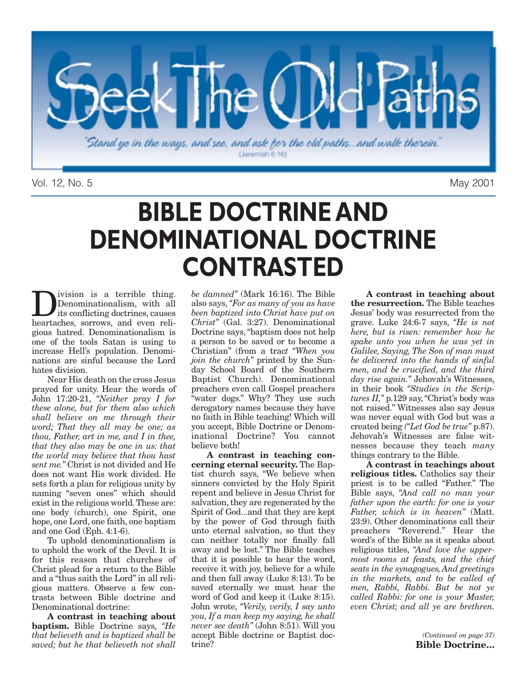

Vol. 12, No. 5 May 2001

## **BIBLE DOCTRINE AND DENOMINATIONAL DOCTRINE CONTRASTED**

**D**ivision is a terrible thing.<br>
its conflicting doctrines, causes<br>
boartaches, sorrows, and oven roli-Denominationalism, with all heartaches, sorrows, and even religious hatred. Denominationalism is one of the tools Satan is using to increase Hell's population. Denominations are sinful because the Lord hates division.

Near His death on the cross Jesus prayed for unity. Hear the words of John 17:20-21, *"Neither pray I for these alone, but for them also which shall believe on me through their word; That they all may be one; as thou, Father, art in me, and I in thee, that they also may be one in us: that the world may believe that thou hast sent me."* Christ is not divided and He does not want His work divided. He sets forth a plan for religious unity by naming "seven ones" which should exist in the religious world.These are: one body (church), one Spirit, one hope, one Lord, one faith, one baptism and one God (Eph. 4:1-6).

To uphold denominationalism is to uphold the work of the Devil. It is for this reason that churches of Christ plead for a return to the Bible and a "thus saith the Lord" in all religious matters. Observe a few contrasts between Bible doctrine and Denominational doctrine:

**A contrast in teaching about baptism.** Bible Doctrine says, *"He that believeth and is baptized shall be saved; but he that believeth not shall*

*be damned"* (Mark 16:16). The Bible also says, *"For as many of you as have been baptized into Christ have put on Christ"* (Gal. 3:27). Denominational Doctrine says, "baptism does not help a person to be saved or to become a Christian" (from a trac*t "When you join the church"* printed by the Sunday School Board of the Southern Baptist Church). Denominational preachers even call Gospel preachers "water dogs." Why? They use such derogatory names because they have no faith in Bible teaching! Which will you accept, Bible Doctrine or Denominational Doctrine? You cannot believe both!

**A contrast in teaching concerning eternal security.** The Baptist church says, "We believe when sinners convicted by the Holy Spirit repent and believe in Jesus Christ for salvation, they are regenerated by the Spirit of God...and that they are kept by the power of God through faith unto eternal salvation, so that they can neither totally nor finally fall away and be lost." The Bible teaches that it is possible to hear the word, receive it with joy, believe for a while and then fall away (Luke 8:13). To be saved eternally we must hear the word of God and keep it (Luke 8:15). John wrote, *"Verily, verily, I say unto you, If a man keep my saying, he shall never see death"* (John 8:51). Will you accept Bible doctrine or Baptist doctrine?

**A contrast in teaching about the resurrection.** The Bible teaches Jesus' body was resurrected from the grave. Luke 24:6-7 says, *"He is not here, but is risen: remember how he spake unto you when he was yet in Galilee, Saying, The Son of man must be delivered into the hands of sinful men, and be crucified, and the third day rise again."* Jehovah's Witnesses, in their book *"Studies in the Scriptures II,"* p.129 say, "Christ's body was not raised." Witnesses also say Jesus was never equal with God but was a created being *("Let God be true"* p.87). Jehovah's Witnesses are false witnesses because they teach *many* things contrary to the Bible.

**A contrast in teachings about religious titles.** Catholics say their priest is to be called "Father." The Bible says, *"And call no man your father upon the earth: for one is your Father, which is in heaven"* (Matt. 23:9). Other denominations call their preachers "Reverend." Hear the word's of the Bible as it speaks about religious titles, *"And love the uppermost rooms at feasts, and the chief seats in the synagogues, And greetings in the markets, and to be called of men, Rabbi, Rabbi. But be not ye called Rabbi: for one is your Master, even Christ; and all ye are brethren.*

> *(Continued on page 37)* **Bible Doctrine…**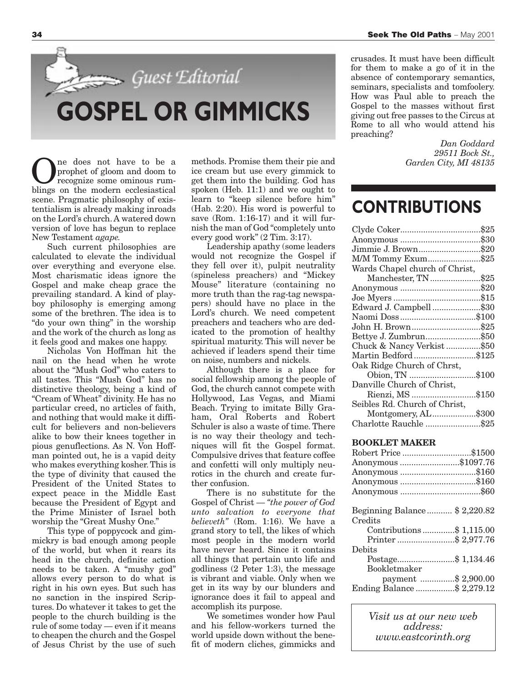

One does not have to be a<br>prophet of gloom and doom to<br>recognize some ominous rumprophet of gloom and doom to blings on the modern ecclesiastical scene. Pragmatic philosophy of existentialism is already making inroads on the Lord's church. A watered down version of love has begun to replace New Testament *agape.*

Such current philosophies are calculated to elevate the individual over everything and everyone else. Most charismatic ideas ignore the Gospel and make cheap grace the prevailing standard. A kind of playboy philosophy is emerging among some of the brethren. The idea is to "do your own thing" in the worship and the work of the church as long as it feels good and makes one happy.

Nicholas Von Hoffman hit the nail on the head when he wrote about the "Mush God" who caters to all tastes. This "Mush God" has no distinctive theology, being a kind of "Cream of Wheat" divinity. He has no particular creed, no articles of faith, and nothing that would make it difficult for believers and non-believers alike to bow their knees together in pious genuflections. As N. Von Hoffman pointed out, he is a vapid deity who makes everything kosher. This is the type of divinity that caused the President of the United States to expect peace in the Middle East because the President of Egypt and the Prime Minister of Israel both worship the "Great Mushy One."

This type of poppycock and gimmickry is bad enough among people of the world, but when it rears its head in the church, definite action needs to be taken. A "mushy god" allows every person to do what is right in his own eyes. But such has no sanction in the inspired Scriptures. Do whatever it takes to get the people to the church building is the rule of some today — even if it means to cheapen the church and the Gospel of Jesus Christ by the use of such

methods. Promise them their pie and ice cream but use every gimmick to get them into the building. God has spoken (Heb. 11:1) and we ought to learn to "keep silence before him" (Hab. 2:20). His word is powerful to save (Rom. 1:16-17) and it will furnish the man of God "completely unto every good work" (2 Tim. 3:17).

Leadership apathy (some leaders would not recognize the Gospel if they fell over it), pulpit neutrality (spineless preachers) and "Mickey Mouse" literature (containing no more truth than the rag-tag newspapers) should have no place in the Lord's church. We need competent preachers and teachers who are dedicated to the promotion of healthy spiritual maturity. This will never be achieved if leaders spend their time on noise, numbers and nickels.

Although there is a place for social fellowship among the people of God, the church cannot compete with Hollywood, Las Vegas, and Miami Beach. Trying to imitate Billy Graham, Oral Roberts and Robert Schuler is also a waste of time. There is no way their theology and techniques will fit the Gospel format. Compulsive drives that feature coffee and confetti will only multiply neurotics in the church and create further confusion.

There is no substitute for the Gospel of Christ — *"the power of God unto salvation to everyone that believeth"* (Rom. 1:16). We have a grand story to tell, the likes of which most people in the modern world have never heard. Since it contains all things that pertain unto life and godliness (2 Peter 1:3), the message is vibrant and viable. Only when we get in its way by our blunders and ignorance does it fail to appeal and accomplish its purpose.

We sometimes wonder how Paul and his fellow-workers turned the world upside down without the benefit of modern cliches, gimmicks and

crusades. It must have been difficult for them to make a go of it in the absence of contemporary semantics, seminars, specialists and tomfoolery. How was Paul able to preach the Gospel to the masses without first giving out free passes to the Circus at Rome to all who would attend his preaching?

> *Dan Goddard 29511 Bock St., Garden City, MI 48135*

### **CONTRIBUTIONS**

| Jimmie J. Brown\$20                              |
|--------------------------------------------------|
| M/M Tommy Exum\$25                               |
| Wards Chapel church of Christ,                   |
| Manchester, TN \$25                              |
|                                                  |
|                                                  |
| Edward J. Campbell\$30                           |
|                                                  |
| John H. Brown\$25                                |
| Bettye J. Zumbrun\$50                            |
| Chuck & Nancy Verkist \$50                       |
| Martin Bedford\$125                              |
| Oak Ridge Church of Chrst,                       |
| Obion, TN \$100                                  |
| Danville Church of Christ,                       |
| Rienzi, MS \$150                                 |
| Seibles Rd. Church of Christ,                    |
| Montgomery, AL\$300                              |
| Charlotte Rauchle \$25                           |
| <b>BOOKLET MAKER</b>                             |
| Robert Price \$1500                              |
|                                                  |
| Anonymous \$1097.76                              |
| Anonymous \$160                                  |
| Anonymous \$160                                  |
|                                                  |
| Beginning Balance \$2,220.82                     |
| Credits                                          |
|                                                  |
| Contributions \$ 1,115.00<br>Printer \$ 2,977.76 |
| Debits                                           |
| Postage\$ 1,134.46                               |
| Bookletmaker                                     |
| payment \$ 2,900.00                              |
| Ending Balance \$ 2,279.12                       |
|                                                  |

*Visit us at our new web address: www.eastcorinth.org*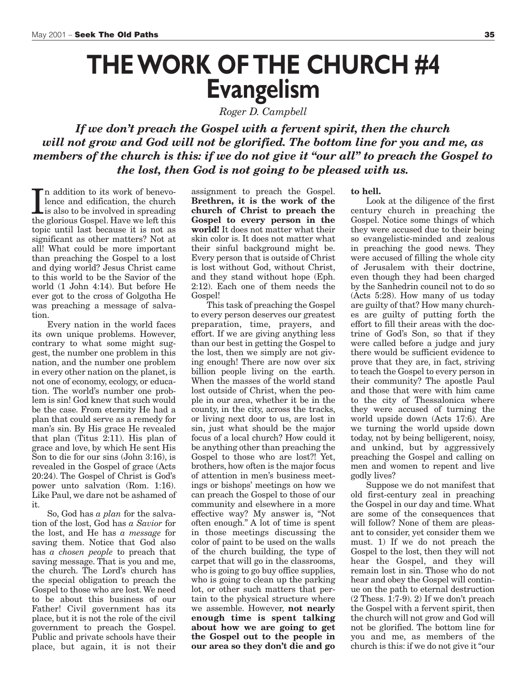## **THE WORK OF THE CHURCH #4 Evangelism**

*Roger D. Campbell*

*If we don't preach the Gospel with a fervent spirit, then the church will not grow and God will not be glorified. The bottom line for you and me, as members of the church is this: if we do not give it "our all" to preach the Gospel to the lost, then God is not going to be pleased with us.*

In addition to its work of benevo-<br>lence and edification, the church<br>is also to be involved in spreading<br>the glorious Gospel Have we left this n addition to its work of benevolence and edification, the church the glorious Gospel. Have we left this topic until last because it is not as significant as other matters? Not at all! What could be more important than preaching the Gospel to a lost and dying world? Jesus Christ came to this world to be the Savior of the world (1 John 4:14). But before He ever got to the cross of Golgotha He was preaching a message of salvation.

Every nation in the world faces its own unique problems. However, contrary to what some might suggest, the number one problem in this nation, and the number one problem in every other nation on the planet, is not one of economy, ecology, or education. The world's number one problem is sin! God knew that such would be the case. From eternity He had a plan that could serve as a remedy for man's sin. By His grace He revealed that plan (Titus 2:11). His plan of grace and love, by which He sent His Son to die for our sins (John 3:16), is revealed in the Gospel of grace (Acts 20:24). The Gospel of Christ is God's power unto salvation (Rom. 1:16). Like Paul, we dare not be ashamed of it.

So, God has *a plan* for the salvation of the lost, God has *a Savior* for the lost, and He has *a message* for saving them. Notice that God also has *a chosen people* to preach that saving message. That is you and me, the church. The Lord's church has the special obligation to preach the Gospel to those who are lost. We need to be about this business of our Father! Civil government has its place, but it is not the role of the civil government to preach the Gospel. Public and private schools have their place, but again, it is not their assignment to preach the Gospel. **Brethren, it is the work of the church of Christ to preach the Gospel to every person in the world!** It does not matter what their skin color is. It does not matter what their sinful background might be. Every person that is outside of Christ is lost without God, without Christ, and they stand without hope (Eph. 2:12). Each one of them needs the Gospel!

This task of preaching the Gospel to every person deserves our greatest preparation, time, prayers, and effort. If we are giving anything less than our best in getting the Gospel to the lost, then we simply are not giving enough! There are now over six billion people living on the earth. When the masses of the world stand lost outside of Christ, when the people in our area, whether it be in the county, in the city, across the tracks, or living next door to us, are lost in sin, just what should be the major focus of a local church? How could it be anything other than preaching the Gospel to those who are lost?! Yet, brothers, how often is the major focus of attention in men's business meetings or bishops' meetings on how we can preach the Gospel to those of our community and elsewhere in a more effective way? My answer is, "Not often enough." A lot of time is spent in those meetings discussing the color of paint to be used on the walls of the church building, the type of carpet that will go in the classrooms, who is going to go buy office supplies, who is going to clean up the parking lot, or other such matters that pertain to the physical structure where we assemble. However, **not nearly enough time is spent talking about how we are going to get the Gospel out to the people in our area so they don't die and go**

**to hell.**

Look at the diligence of the first century church in preaching the Gospel. Notice some things of which they were accused due to their being so evangelistic-minded and zealous in preaching the good news. They were accused of filling the whole city of Jerusalem with their doctrine, even though they had been charged by the Sanhedrin council not to do so (Acts 5:28). How many of us today are guilty of that? How many churches are guilty of putting forth the effort to fill their areas with the doctrine of God's Son, so that if they were called before a judge and jury there would be sufficient evidence to prove that they are, in fact, striving to teach the Gospel to every person in their community? The apostle Paul and those that were with him came to the city of Thessalonica where they were accused of turning the world upside down (Acts 17:6). Are we turning the world upside down today, not by being belligerent, noisy, and unkind, but by aggressively preaching the Gospel and calling on men and women to repent and live godly lives?

Suppose we do not manifest that old first-century zeal in preaching the Gospel in our day and time. What are some of the consequences that will follow? None of them are pleasant to consider, yet consider them we must. 1) If we do not preach the Gospel to the lost, then they will not hear the Gospel, and they will remain lost in sin. Those who do not hear and obey the Gospel will continue on the path to eternal destruction (2 Thess. 1:7-9). 2) If we don't preach the Gospel with a fervent spirit, then the church will not grow and God will not be glorified. The bottom line for you and me, as members of the church is this: if we do not give it "our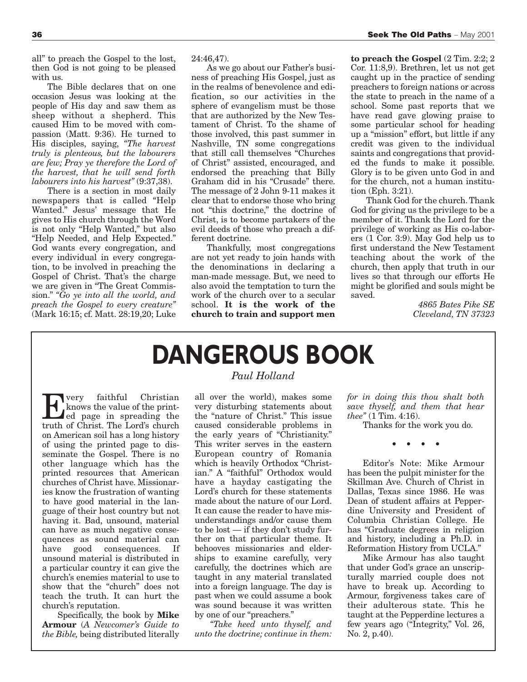all" to preach the Gospel to the lost, then God is not going to be pleased with us.

The Bible declares that on one occasion Jesus was looking at the people of His day and saw them as sheep without a shepherd. This caused Him to be moved with compassion (Matt. 9:36). He turned to His disciples, saying, *"The harvest truly is plenteous, but the labourers are few; Pray ye therefore the Lord of the harvest, that he will send forth labourers into his harvest"* (9:37,38).

There is a section in most daily newspapers that is called "Help Wanted." Jesus' message that He gives to His church through the Word is not only "Help Wanted," but also "Help Needed, and Help Expected." God wants every congregation, and every individual in every congregation, to be involved in preaching the Gospel of Christ. That's the charge we are given in "The Great Commission." *"Go ye into all the world, and preach the Gospel to every creature"* (Mark 16:15; cf. Matt. 28:19,20; Luke 24:46,47).

As we go about our Father's business of preaching His Gospel, just as in the realms of benevolence and edification, so our activities in the sphere of evangelism must be those that are authorized by the New Testament of Christ. To the shame of those involved, this past summer in Nashville, TN some congregations that still call themselves "Churches of Christ" assisted, encouraged, and endorsed the preaching that Billy Graham did in his "Crusade" there. The message of 2 John 9-11 makes it clear that to endorse those who bring not "this doctrine," the doctrine of Christ, is to become partakers of the evil deeds of those who preach a different doctrine.

Thankfully, most congregations are not yet ready to join hands with the denominations in declaring a man-made message. But, we need to also avoid the temptation to turn the work of the church over to a secular school. **It is the work of the church to train and support men**

**to preach the Gospel** (2 Tim. 2:2; 2 Cor. 11:8,9). Brethren, let us not get caught up in the practice of sending preachers to foreign nations or across the state to preach in the name of a school. Some past reports that we have read gave glowing praise to some particular school for heading up a "mission" effort, but little if any credit was given to the individual saints and congregations that provided the funds to make it possible. Glory is to be given unto God in and for the church, not a human institution (Eph. 3:21).

Thank God for the church. Thank God for giving us the privilege to be a member of it. Thank the Lord for the privilege of working as His co-laborers (1 Cor. 3:9). May God help us to first understand the New Testament teaching about the work of the church, then apply that truth in our lives so that through our efforts He might be glorified and souls might be saved.

> *4865 Bates Pike SE Cleveland, TN 37323*

## **DANGEROUS BOOK**

**EVERTHEREN**<br>
Every faithful Christian<br>
ed page in spreading the<br>
truth of Christ The Lord's church knows the value of the printtruth of Christ. The Lord's church on American soil has a long history of using the printed page to disseminate the Gospel. There is no other language which has the printed resources that American churches of Christ have. Missionaries know the frustration of wanting to have good material in the language of their host country but not having it. Bad, unsound, material can have as much negative consequences as sound material can have good consequences. If unsound material is distributed in a particular country it can give the church's enemies material to use to show that the "church" does not teach the truth. It can hurt the church's reputation.

Specifically, the book by **Mike Armour** (*A Newcomer's Guide to the Bible,* being distributed literally

### *Paul Holland*

all over the world), makes some very disturbing statements about the "nature of Christ." This issue caused considerable problems in the early years of "Christianity." This writer serves in the eastern European country of Romania which is heavily Orthodox "Christian." A "faithful" Orthodox would have a hayday castigating the Lord's church for these statements made about the nature of our Lord. It can cause the reader to have misunderstandings and/or cause them to be lost — if they don't study further on that particular theme. It behooves missionaries and elderships to examine carefully, very carefully, the doctrines which are taught in any material translated into a foreign language. The day is past when we could assume a book was sound because it was written by one of our "preachers."

*"Take heed unto thyself, and unto the doctrine; continue in them:*

*for in doing this thou shalt both save thyself, and them that hear thee"* (1 Tim. 4:16).

Thanks for the work you do.

••••

Editor's Note: Mike Armour has been the pulpit minister for the Skillman Ave. Church of Christ in Dallas, Texas since 1986. He was Dean of student affairs at Pepperdine University and President of Columbia Christian College. He has "Graduate degrees in religion and history, including a Ph.D. in Reformation History from UCLA."

Mike Armour has also taught that under God's grace an unscripturally married couple does not have to break up. According to Armour, forgiveness takes care of their adulterous state. This he taught at the Pepperdine lectures a few years ago ("Integrity," Vol. 26, No. 2, p.40).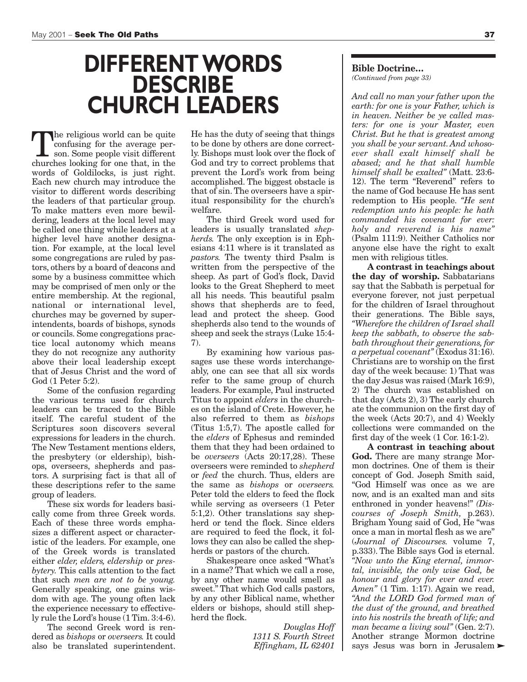## **DIFFERENT WORDS DESCRIBE CHURCH LEADERS** *And call no man your father upon the*

The religious world can be quite confusing for the average person. Some people visit different churches looking for one that, in the words of Goldilocks, is just right. Each new church may introduce the visitor to different words describing the leaders of that particular group. To make matters even more bewildering, leaders at the local level may be called one thing while leaders at a higher level have another designation. For example, at the local level some congregations are ruled by pastors, others by a board of deacons and some by a business committee which may be comprised of men only or the entire membership. At the regional, national or international level, churches may be governed by superintendents, boards of bishops, synods or councils. Some congregations practice local autonomy which means they do not recognize any authority above their local leadership except that of Jesus Christ and the word of God (1 Peter 5:2).

Some of the confusion regarding the various terms used for church leaders can be traced to the Bible itself. The careful student of the Scriptures soon discovers several expressions for leaders in the church. The New Testament mentions elders, the presbytery (or eldership), bishops, overseers, shepherds and pastors. A surprising fact is that all of these descriptions refer to the same group of leaders.

These six words for leaders basically come from three Greek words. Each of these three words emphasizes a different aspect or characteristic of the leaders. For example, one of the Greek words is translated either *elder, elders, eldership* or *presbytery.* This calls attention to the fact that such *men are not to be young.* Generally speaking, one gains wisdom with age. The young often lack the experience necessary to effectively rule the Lord's house (1 Tim. 3:4-6).

The second Greek word is rendered as *bishops* or *overseers.* It could also be translated superintendent.

He has the duty of seeing that things to be done by others are done correctly. Bishops must look over the flock of God and try to correct problems that prevent the Lord's work from being accomplished. The biggest obstacle is that of sin. The overseers have a spiritual responsibility for the church's welfare.

The third Greek word used for leaders is usually translated *shepherds.* The only exception is in Ephesians 4:11 where is it translated as *pastors.* The twenty third Psalm is written from the perspective of the sheep. As part of God's flock, David looks to the Great Shepherd to meet all his needs. This beautiful psalm shows that shepherds are to feed, lead and protect the sheep. Good shepherds also tend to the wounds of sheep and seek the strays (Luke 15:4- 7).

By examining how various passages use these words interchangeably, one can see that all six words refer to the same group of church leaders. For example, Paul instructed Titus to appoint *elders* in the churches on the island of Crete. However, he also referred to them as *bishops* (Titus 1:5,7). The apostle called for the *elders* of Ephesus and reminded them that they had been ordained to be *overseers* (Acts 20:17,28). These overseers were reminded to *shepherd* or *feed* the church. Thus, elders are the same as *bishops* or *overseers.* Peter told the elders to feed the flock while serving as overseers (1 Peter 5:1,2). Other translations say shepherd or tend the flock. Since elders are required to feed the flock, it follows they can also be called the shepherds or pastors of the church.

Shakespeare once asked "What's in a name? That which we call a rose, by any other name would smell as sweet." That which God calls pastors, by any other Biblical name, whether elders or bishops, should still shepherd the flock.

> *Douglas Hoff 1311 S. Fourth Street Effingham, IL 62401*

### **Bible Doctrine…**

*(Continued from page 33)*

*earth: for one is your Father, which is in heaven. Neither be ye called masters: for one is your Master, even Christ. But he that is greatest among you shall be your servant. And whosoever shall exalt himself shall be abased; and he that shall humble himself shall be exalted"* (Matt. 23:6- 12). The term "Reverend" refers to the name of God because He has sent redemption to His people. *"He sent redemption unto his people: he hath commanded his covenant for ever: holy and reverend is his name"* (Psalm 111:9). Neither Catholics nor anyone else have the right to exalt men with religious titles.

**A contrast in teachings about the day of worship.** Sabbatarians say that the Sabbath is perpetual for everyone forever, not just perpetual for the children of Israel throughout their generations. The Bible says, *"Wherefore the children of Israel shall keep the sabbath, to observe the sabbath throughout their generations, for a perpetual covenant"* (Exodus 31:16). Christians are to worship on the first day of the week because: 1) That was the day Jesus was raised (Mark 16:9), 2) The church was established on that day (Acts 2), 3) The early church ate the communion on the first day of the week (Acts 20:7), and 4) Weekly collections were commanded on the first day of the week (1 Cor. 16:1-2).

**A contrast in teaching about God.** There are many strange Mormon doctrines. One of them is their concept of God. Joseph Smith said, "God Himself was once as we are now, and is an exalted man and sits enthroned in yonder heavens!" *(Discourses of Joseph Smith,* p.263). Brigham Young said of God, He "was once a man in mortal flesh as we are" (*Journal of Discourses.* volume 7, p.333). The Bible says God is eternal. *"Now unto the King eternal, immortal, invisible, the only wise God, be honour and glory for ever and ever. Amen"* (1 Tim. 1:17). Again we read, *"And the LORD God formed man of the dust of the ground, and breathed into his nostrils the breath of life; and man became a living soul"* (Gen. 2:7). Another strange Mormon doctrine says Jesus was born in Jerusalem  $\blacktriangleright$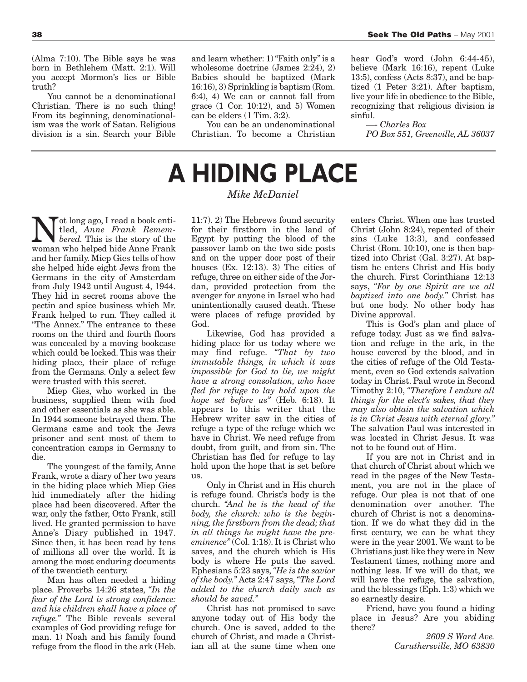(Alma 7:10). The Bible says he was born in Bethlehem (Matt. 2:1). Will you accept Mormon's lies or Bible truth?

You cannot be a denominational Christian. There is no such thing! From its beginning, denominationalism was the work of Satan. Religious division is a sin. Search your Bible and learn whether: 1) "Faith only" is a wholesome doctrine (James 2:24), 2) Babies should be baptized (Mark 16:16), 3) Sprinkling is baptism (Rom. 6:4), 4) We can or cannot fall from grace (1 Cor. 10:12), and 5) Women can be elders (1 Tim. 3:2).

You can be an undenominational Christian. To become a Christian hear God's word (John 6:44-45), believe (Mark 16:16), repent (Luke 13:5), confess (Acts 8:37), and be baptized (1 Peter 3:21). After baptism, live your life in obedience to the Bible, recognizing that religious division is sinful.

—- *Charles Box PO Box 551, Greenville, AL 36037*

# **A HIDING PLACE**

### *Mike McDaniel*

 $\sum_{\text{bered.}}$  The step of the stock entity of the stock of the stock of the stock of the stock of the stock of the stock of the stock of the straight of the straight of the straight of the straight of the straight of the st tled, *Anne Frank Remem*woman who helped hide Anne Frank and her family. Miep Gies tells of how she helped hide eight Jews from the Germans in the city of Amsterdam from July 1942 until August 4, 1944. They hid in secret rooms above the pectin and spice business which Mr. Frank helped to run. They called it "The Annex." The entrance to these rooms on the third and fourth floors was concealed by a moving bookcase which could be locked. This was their hiding place, their place of refuge from the Germans. Only a select few were trusted with this secret.

Miep Gies, who worked in the business, supplied them with food and other essentials as she was able. In 1944 someone betrayed them. The Germans came and took the Jews prisoner and sent most of them to concentration camps in Germany to die.

The youngest of the family, Anne Frank, wrote a diary of her two years in the hiding place which Miep Gies hid immediately after the hiding place had been discovered. After the war, only the father, Otto Frank, still lived. He granted permission to have Anne's Diary published in 1947. Since then, it has been read by tens of millions all over the world. It is among the most enduring documents of the twentieth century.

Man has often needed a hiding place. Proverbs 14:26 states, *"In the fear of the Lord is strong confidence: and his children shall have a place of refuge."* The Bible reveals several examples of God providing refuge for man. 1) Noah and his family found refuge from the flood in the ark (Heb.

11:7). 2) The Hebrews found security for their firstborn in the land of Egypt by putting the blood of the passover lamb on the two side posts and on the upper door post of their houses  $(Ex, 12:13)$ . 3) The cities of refuge, three on either side of the Jordan, provided protection from the avenger for anyone in Israel who had unintentionally caused death. These were places of refuge provided by God.

Likewise, God has provided a hiding place for us today where we may find refuge. *"That by two immutable things, in which it was impossible for God to lie, we might have a strong consolation, who have fled for refuge to lay hold upon the hope set before us"* (Heb. 6:18). It appears to this writer that the Hebrew writer saw in the cities of refuge a type of the refuge which we have in Christ. We need refuge from doubt, from guilt, and from sin. The Christian has fled for refuge to lay hold upon the hope that is set before us.

Only in Christ and in His church is refuge found. Christ's body is the church. *"And he is the head of the body, the church: who is the beginning, the firstborn from the dead; that in all things he might have the preeminence"* (Col. 1:18). It is Christ who saves, and the church which is His body is where He puts the saved. Ephesians 5:23 says,*"He is the savior of the body."* Acts 2:47 says,*"The Lord added to the church daily such as should be saved."*

Christ has not promised to save anyone today out of His body the church. One is saved, added to the church of Christ, and made a Christian all at the same time when one

enters Christ. When one has trusted Christ (John 8:24), repented of their sins (Luke 13:3), and confessed Christ (Rom. 10:10), one is then baptized into Christ (Gal. 3:27). At baptism he enters Christ and His body the church. First Corinthians 12:13 says, *"For by one Spirit are we all baptized into one body."* Christ has but one body. No other body has Divine approval.

This is God's plan and place of refuge today. Just as we find salvation and refuge in the ark, in the house covered by the blood, and in the cities of refuge of the Old Testament, even so God extends salvation today in Christ. Paul wrote in Second Timothy 2:10, *"Therefore I endure all things for the elect's sakes, that they may also obtain the salvation which is in Christ Jesus with eternal glory."* The salvation Paul was interested in was located in Christ Jesus. It was not to be found out of Him.

If you are not in Christ and in that church of Christ about which we read in the pages of the New Testament, you are not in the place of refuge. Our plea is not that of one denomination over another. The church of Christ is not a denomination. If we do what they did in the first century, we can be what they were in the year 2001. We want to be Christians just like they were in New Testament times, nothing more and nothing less. If we will do that, we will have the refuge, the salvation, and the blessings (Eph. 1:3) which we so earnestly desire.

Friend, have you found a hiding place in Jesus? Are you abiding there?

> *2609 S Ward Ave. Caruthersville, MO 63830*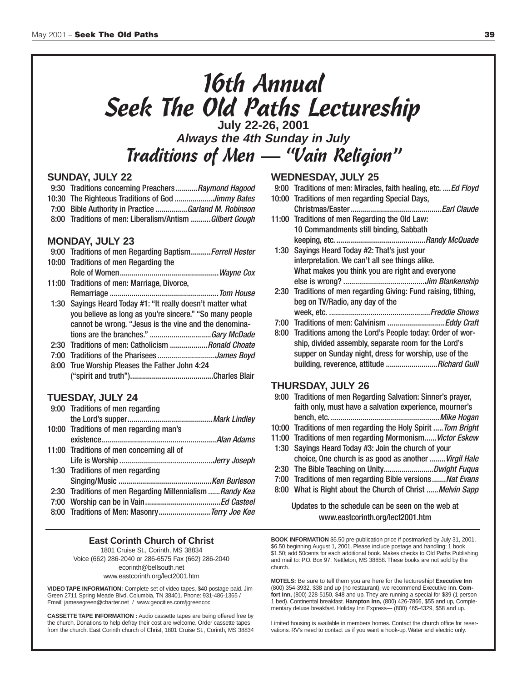# 16th Annual Seek The Old Paths Lectureship **July 22-26, 2001**

**Always the 4th Sunday in July** Traditions of Men — "Vain Religion"

### **SUNDAY, JULY 22**

- 9:30 Traditions concerning Preachers...........Raymond Hagood
- 10:30 The Righteous Traditions of God ...................Jimmy Bates
- 7:00 Bible Authority in Practice ................Garland M. Robinson
- 8:00 Traditions of men: Liberalism/Antism ..........Gilbert Gough

### **MONDAY, JULY 23**

| 9:00 Traditions of men Regarding Baptism Ferrell Hester     |
|-------------------------------------------------------------|
| 10:00 Traditions of men Regarding the                       |
|                                                             |
| 11:00 Traditions of men: Marriage, Divorce,                 |
|                                                             |
| 1:30 Sayings Heard Today #1: "It really doesn't matter what |
| you believe as long as you're sincere." "So many people     |
| cannot be wrong. "Jesus is the vine and the denomina-       |
|                                                             |
| 2:30 Traditions of men: Catholicism <i>Ronald Choate</i>    |
| 7:00 Traditions of the PhariseesJames Boyd                  |
| 8:00 True Worship Pleases the Father John 4:24              |
|                                                             |

### **TUESDAY, JULY 24**

| 9:00 Traditions of men regarding                         |  |
|----------------------------------------------------------|--|
|                                                          |  |
| 10:00 Traditions of men regarding man's                  |  |
|                                                          |  |
| 11:00 Traditions of men concerning all of                |  |
|                                                          |  |
| 1:30 Traditions of men regarding                         |  |
|                                                          |  |
| 2:30 Traditions of men Regarding Millennialism Randy Kea |  |
|                                                          |  |
| 8:00 Traditions of Men: Masonry Terry Joe Kee            |  |

#### **East Corinth Church of Christ** 1801 Cruise St., Corinth, MS 38834 Voice (662) 286-2040 or 286-6575 Fax (662) 286-2040 ecorinth@bellsouth.net

www.eastcorinth.org/lect2001.htm

**VIDEO TAPE INFORMATION:** Complete set of video tapes, \$40 postage paid. Jim Green 2711 Spring Meade Blvd. Columbia, TN 38401. Phone: 931-486-1365 / Email: jamesegreen@charter.net / www.geocities.com/jgreencoc

**CASSETTE TAPE INFORMATION :** Audio cassette tapes are being offered free by the church. Donations to help defray their cost are welcome. Order cassette tapes from the church. East Corinth church of Christ, 1801 Cruise St., Corinth, MS 38834

### **WEDNESDAY, JULY 25**

- 9:00 Traditions of men: Miracles, faith healing, etc. .... Ed Floyd
- 10:00 Traditions of men regarding Special Days, Christmas/Easter..............................................Earl Claude
- 11:00 Traditions of men Regarding the Old Law: 10 Commandments still binding, Sabbath keeping, etc. .............................................Randy McQuade
- 1:30 Sayings Heard Today #2: That's just your interpretation. We can't all see things alike. What makes you think you are right and everyone else is wrong? .........................................Jim Blankenship
- 2:30 Traditions of men regarding Giving: Fund raising, tithing, beg on TV/Radio, any day of the week, etc. ...................................................Freddie Shows
	-
- 7:00 Traditions of men: Calvinism .............................Eddy Craft
- 8:00 Traditions among the Lord's People today: Order of worship, divided assembly, separate room for the Lord's supper on Sunday night, dress for worship, use of the building, reverence, attitude ............................Richard Guill

### **THURSDAY, JULY 26**

- 9:00 Traditions of men Regarding Salvation: Sinner's prayer, faith only, must have a salvation experience, mourner's bench, etc. .......................................................Mike Hogan 10:00 Traditions of men regarding the Holy Spirit ..... Tom Bright
- 11:00 Traditions of men regarding Mormonism...... Victor Eskew
- 1:30 Sayings Heard Today #3: Join the church of your choice, One church is as good as another ........Virgil Hale
- 2:30 The Bible Teaching on Unity..................................Dwight Fuqua
- 7:00 Traditions of men regarding Bible versions.......Nat Evans
- 8:00 What is Right about the Church of Christ ...... Melvin Sapp

### Updates to the schedule can be seen on the web at www.eastcorinth.org/lect2001.htm

**BOOK INFORMATION** \$5.50 pre-publication price if postmarked by July 31, 2001. \$6.50 beginning August 1, 2001. Please include postage and handling: 1 book \$1.50; add 50cents for each additional book. Makes checks to Old Paths Publishing and mail to: P.O. Box 97, Nettleton, MS 38858. These books are not sold by the church.

**MOTELS:** Be sure to tell them you are here for the lectureship! **Executive Inn** (800) 354-3932, \$38 and up (no restaurant), we recommend Executive Inn. **Comfort Inn,** (800) 228-5150, \$48 and up. They are running a special for \$39 (1 person 1 bed). Continental breakfast. **Hampton Inn,** (800) 426-7866, \$55 and up, Complementary deluxe breakfast. Holiday Inn Express— (800) 465-4329, \$58 and up.

Limited housing is available in members homes. Contact the church office for reservations. RV's need to contact us if you want a hook-up. Water and electric only.